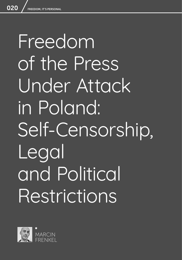# Freedom of the Press Under Attack in Poland: Self-Censorship, Legal and Political Restrictions

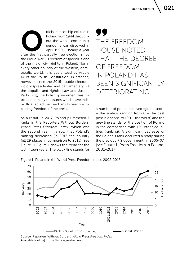fficial censorship existed in<br>
Poland from 1944 through-<br>
out the whole communist<br>
period. It was dissolved in<br>
April 1990 – nearly a year<br>
after the first partially free election since Poland from 1944 throughout the whole communist period. It was dissolved in April 1990 – nearly a year

the World War II. Freedom of speech is one of the major civil rights in Poland, like in every other country of the Western, democratic world. It is guaranteed by Article 14 of the Polish Constitution. In practice, however, since the 2015 double electoral victory (presidential and parliamentary) of the populist and rightist Law and Justice Party (PiS), the Polish government has introduced many measures which have indirectly affected the freedom of speech – including freedom of the press.

As a result, in 2017, Poland plummeted 7 ranks in the Reporters Without Borders' *World Press Freedom Index*, which was the second year in a row that Poland's ranking decreased (in 2016 the country fell 29 places in comparison to 2015) (See Figure 1). Figure 1 shows the trend for the last fifteen years: The black line stands for

### THE FREEDOM HOUSE NOTED THAT THE DEGREE OF FREEDOM IN POLAND HAS BEEN SIGNIFICANTLY DETERIORATING

a number of points received (global score – the scale is ranging from  $0 -$  the best possible score, to 100 – the worst) and the grey line stands for the position of Poland in the comparison with 179 other countries (ranking). A significant decrease of the Poland's rank occurred already during the previous PiS government, in 2005-07. [See Figure 1: Press Freedom in Poland, 2002-2017]

Figure 1: Poland in the World Press Freedom Index, 2002-2017



Available [online]: https://rsf.org/en/ranking.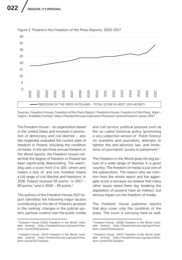

Figure 2: Poland in the Freedom of the Press Reports, 2002-2017

Sources: Freedom House, *Freedom of the Press Report*; Freedom House. *Freedom of the Press*. Washington. Available [online]: https://freedomhouse.org/report/freedom-press/freedom-press-2017

The Freedom House – an organization based in the United States and involved in promotion of democracy and civil liberties – also has negatively evaluated the current state of freedom in Poland, including the condition of media. In the last three annual *Freedom in the World* reports, the Freedom House noted that the degree of freedom in Poland has been significantly deteriorating. The watchdog uses a score from 0 to 100, where zero means a lack of, and one hundred means a full range of civil liberties and freedoms. In 2016, Poland received 93 points, $1$  in 2017 -89 points,<sup>2</sup> and in 2018 – 85 points.<sup>3</sup>

The authors of the Freedom House 2017 report identified the following major factors contributing to the fall of Poland's position in the ranking: changes in the judicial system, partisan control over the public media

and civil service, political pressure such as the so-called historical policy (promoting a very subjective version of Polish history) on scientists and journalists, attempts to tighten the anti-abortion law, and limitations on journalists' access to parliament.4

*The Freedom in the World* gives the big picture of a wide range of liberties in a given country. The freedom of media is just one of the subsections. The reason why we mention here the whole report and the aggregate score is because we believe that many other issues raised there (eg. breaking the separation of powers) have an indirect, but serious impact on the freedom of media.

The Freedom House publishes reports that also cover only the condition of the press. The score is worrying here as well:

<sup>1</sup> Freedom House (2016) *Freedom in the World.* Available [online]:, https://freedomhouse.org/report/freedom-world/2016/poland

<sup>2</sup> Freedom House (2017) *Freedom in the World.* Available [online]: https://freedomhouse.org/report/freedom-world/2017/poland

<sup>3</sup> Freedom House (2018) *Freedom in the World.* Available [online]: https://freedomhouse.org/report/freedom-world/2018/poland

<sup>4</sup> Freedom House (2017) *Freedom in the World.* Available [online]: https://freedomhouse.org/report/freedom-world/2017/poland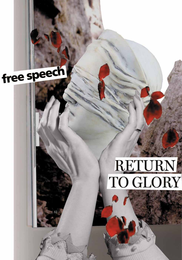

## RETURN TO GLORY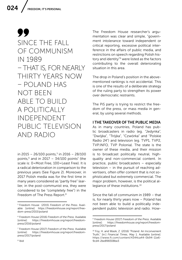99 SINCE THE FALL OF COMMUNISM IN 1989 – THAT IS, FOR NEARLY THIRTY YEARS NOW – POLAND HAS NOT BEEN ABLE TO BUILD A POLITICALLY INDEPENDENT PUBLIC TELEVISION AND RADIO

in 2015 – 26/100 points,<sup>5</sup> in 2016 – 28/100 points, $6$  and in 2017 – 34/100 points<sup>7</sup> (the scale is: 0=Most Free, 100=Least Free). It is a radical deterioration in comparison to the previous years (See Figure 2). Moreover, in 2017 Polish media was for the first time in many years considered as "partly free" (earlier, in the post-communist era, they were considered to be "completely free") in the Freedom of The Press Report.<sup>8</sup>

The Freedom House researcher's argumentation was clear and simple, "government intolerance toward independent or critical reporting, excessive political interference in the affairs of public media, and restrictions on speech regarding Polish history and identity"<sup>9</sup> were listed as the factors contributing to the overall deteriorating situation in this area.

The drop in Poland's position in the abovementioned rankings is not accidental. This is one of the results of a deliberate strategy of the ruling party to strengthen its power over democratic restraints.

The PiS party is trying to restrict the freedom of the press, or mass media in general, by using several methods.

#### I THE TAKEOVER OF THE PUBLIC MEDIA

As in many countries, Poland has public broadcasters in radio (eg. "Jedynka", "Dwójka", "Trójka", "Czwórka" and "Polskie Radio 24") and television (eg. TVP1, TVP2, TVP.INFO, TVP Polonia). The state is the owner of these media, and their mission is to broadcast politically neutral, highquality and non-commercial content. In practice, public broadcasters – especially television – in the pursuit of reaching advertisers, often offer content that is not sophisticated but extremely commercial. The major problem, however, is the political allegiance of these institutions.10

Since the fall of communism in 1989 – that is, for nearly thirty years now – Poland has not been able to build a politically independent public television and radio. How-

<sup>5</sup> Freedom House (2015) *Freedom of the Press.* Available [online]: https://freedomhouse.org/report/freedom-press/2015/poland

<sup>6</sup> Freedom House (2016) *Freedom of the Press.* Available https://freedomhouse.org/report/freedompress/2016/poland

<sup>7</sup> Freedom House (2017) *Freedom of the Press.* Available [online]: https://freedomhouse.org/report/freedompress/2017/poland

<sup>9</sup> Freedom House (2017) *Freedom of the Press*. Available [online]: https://freedomhouse.org/report/freedompress/2017/poland

<sup>10</sup> Foy, H. and Wasik, Z. (2016) "Poland: An Inconvenient Truth," [in:] *Financial Times*, May 1. Available [online]: https://www.ft.com/content/4344ca44-0b94-11e6- 9cd4-2be898308be3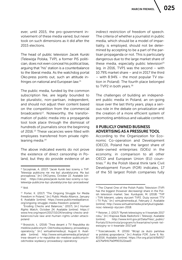ever, until 2015, the pro-government involvement of these media varied, but never took on such dimensions as it did after the 2015 elections.

The head of public television Jacek Kurski (Telewizja Polska, TVP), a former PiS politician, does not even conceal his political bias, arguing that "his" station is a counterbalance to the liberal media. As the watchdog portal Oko.press points out, such an attitude infringes on national and European law.11

The public media, funded by the common subscription fee, are legally bounded to be pluralistic, non-partisan, independent, and should not adjust their content based on the competition from the commercial broadcasters<sup>12</sup>. Noteworthy, the transformation of public media into a propaganda tool took place through the dismissal of hundreds of journalists since the beginning of 2016.<sup>13</sup> These vacancies were filled with employees transferred from private rightleaning media.14

The above indicated events do not prove the existence of direct censorship in Poland, but they do provide evidence of an indirect restriction of freedom of speech. The criteria of whether a journalist in public media, which should be a model of impartiality, is employed, should not be determined by accepting to be a part of the partisan propaganda or not. This is particularly dangerous due to the large market share of these media, especially public television $15$ (eg. in 2016, TVP1 was the second – with 10.79% market share – and in 2017 the third – with 8.94% – the most popular TV station in Poland). The fourth place belonged to TVP2 in both years.<sup>16</sup>

The challenges of building an independent public media in Poland, an on-going issue over the last thirty years, plays a serious role in the debate on privatization and the creation of a more efficient system of promoting ambitious and valuable content.

#### II PUBLICLY OWNED BUSINESS ADVERTISING AS A PRESSURE TOOL

According to the Organization for Economic Co-operation and Development (OECD), Poland has the largest share of state-owned enterprises (SOEs) in the economy, in comparison to all other OECD and European Union (EU) countries.17 As the Polish liberal think tank Civil Development Forum (FOR) indicates, 17 of the 50 largest Polish companies fully

<sup>11</sup> Szczęśniak, A. (2017) "Jacek Kurski bez ściemy o TVP: Telewizja publiczna nie ma być pluralistyczna. Ma być prorządowa," [in:] OKO.press, October 22. Available [online]: https://oko.press/jacek-kurski-bez-sciemy-o-tvptelewizja-publiczna-byc-pluralistyczna-byc-prorzadowa/

 $12$  Ibid.

<sup>13</sup> Porter, K. (2017) "The Ongoing Struggle for Media Freedom in Poland," [in:] *Public Media Alliance*, January 6. Available [online]: https://www.publicmediaalliance. org/ongoing-struggle-media-freedom-poland/;

 <sup>&</sup>quot;Eroding Checks and Balances," (2017), [in:] *Human Rights Watch*, October 24. Available [online]: https:// www.hrw.org/report/2017/10/24/eroding-checks-andbalances/rule-law-and-human-rights-under-attackpoland

<sup>14</sup> Brzezicki, Ł. (2016) "Trwa desant z TV Republika do mediów publicznych. Odchodzą wydawcy, prowadzący, operatorzy," [in:] wirtualnemedia.pl, August 6. Available [online]: http://www.wirtualnemedia.pl/artykul/ trwa-desant-z-tv-republika-do-mediow-publicznychodchodza-wydawcy-prowadzacy-operatorzy

<sup>15</sup> The Chanel One of the Polish Public Television (TVP) has the biggest (however decreasing) share in the Polish television market. See: Kurdupski, M. (2018) "TVP i TVN liderami, udany styczeń TVP2. Duży wzrost TTV i TV Puls," [in:] wirtualnemedia.pl, February 2. Available [online]: http://www.wirtualnemedia.pl/artykul/ogladalnosc-telewizji-styczen-2018.

<sup>16</sup> Reisner, J. (2017) "Rynek telewizyjny w II kwartale 2017 roku," [in:] *Krajowa Rada Radiofonii i Telewizji*, Available [online]: http://www.krrit.gov.pl/Data/Files/\_public/ Portals/0/kontrola/program/tv/kwartalne/rynek-telewizyjny-w-ii-kwartale-2017.pdf

<sup>17</sup> Trzeciakowski, R. (2016) "Wciąż za dużo państwa w polskiej gospodarce," [in:] *Analiza FOR*, June 9, No. 8/2016. Available [online]: https://for.org.pl/pl/d/8d5f17 a217faf9417fa0ff903122ead3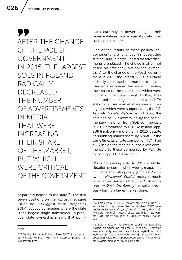99 AFTER THE CHANGE OF THE POLISH GOVERNMENT IN 2015, THE LARGEST SOES IN POLAND RADICALLY DECREASED THE NUMBER OF ADVERTISEMENTS IN MEDIA THAT WERE INCREASING THEIR SHARE OF THE MARKET, BUT WHICH WERE CRITICAL OF THE GOVERNMENT

or partially belong to the state.<sup>18</sup> The first seven positions on the *Wprost* magazine list of *The 200 Biggest Polish Companies 2017*19 occupy companies where the state is the largest single stakeholder. In practice, state ownership means that politicians currently in power delegate their representatives to managerial positions in such companies.<sup>20</sup>

One of the results of these political appointments are changes in advertising strategy and, in particular, *where* advertisements are placed. The choice is often not based on efficiency, but political sympathy. After the change of the Polish government in 2015, the largest SOEs in Poland radically decreased the number of advertisements in media that were increasing their share of the market, but which were critical of the government. Further, they increased spending in the press and TV stations whose market share was shrinking, but which were supportive to the PiS. As daily *Gazeta Wyborcza* indicates, the earnings of TVP (controlled by the parliamentary majority) from SOE commercials in 2016 amounted to PLN 32 million (app. EUR 8 million) – more than in 2015, despite its shrinking market share by 5.86%. At the same time, its private competitor, TVN, had a 4% rise on the market, but sold less commercials to these companies by PLN 36 million (app. EUR 9 million).<sup>21</sup>

When comparing 2016 to 2015, a similar situation occurred when weekly magazines critical of the ruling party (such as *Polityka* and *Newsweek Polska*) received much fewer advertisements than the PiS-friendly ones (*wSieci, Do Rzeczy*), despite previously having a larger market share.

 $18$  Ibid.

<sup>19</sup> "200 Największych Polskich Firm 2017," [in:] wprost. pl. Available [online]: http://rankingi.wprost.pl/200-najwiekszych-firm

<sup>20</sup> Mikołajewska, B. (2017) "Miliony złotych dla ludzi PiS w spółkach z udziałem Skarbu Państwa. OKO.press publikuje listę płac. Część I," [in:] OKO.press, March 28. Available [online]:, https://oko.press/miliony-zlotychdla-ludzi-pis-w-spolkach-z-udzialem-skarbu-panstwa/

<sup>21</sup> Sudak, I. (2017) "Państwowe spółki nieracjonalnie wydają pieniądze na reklamę w mediach. 'Decyduje sympatia polityczna, nie racjonalność wydatków,'" [in:] wyborcza.pl, July 4. Available [online]: http://wyborcza. pl/7,155287,22046074,panstwowe-spolki-nieracjonalnie-wydaja-pieniadze-na-reklame.html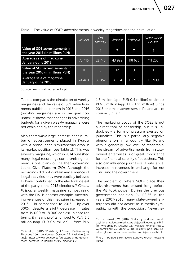|                                                                   | wSieci | Do<br>Rzeczy | Wprost          | Polityka | Newsweek<br>Polska |
|-------------------------------------------------------------------|--------|--------------|-----------------|----------|--------------------|
| Value of SOE advertisements in<br>the year 2015 (in millions PLN) |        |              |                 |          | 4                  |
| Average sale of magazine<br>January-June 2015                     | 75 416 | 52 745       | 43 992          | 118 636  | 111 205            |
| Value of SOE advertisements in<br>the year 2016 (in millions PLN) | 11     | 8            | 12 <sup>2</sup> | 3        |                    |
| Average sale of magazine<br>January-June 2016                     | 74 463 | 56 3 52      | 26 124          | 119 915  | 113 939            |

Table 1: The value of SOE's advertisements in weekly magazines and their circulation

Source: www.wirtualnemedia.pl

Table 1 compares the circulation of weekly magazines and the value of SOE advertisements published in them in 2015 and 2016 (pro-PiS magazines are in the gray columns). It shows that changes in advertising budgets for a given weekly magazine were not explained by the readership.

Also, there was a large increase in the number of advertisements placed in *Wprost* with a pronounced simultaneous drop in its market position (see Table 1). This was a weekly magazine, which in 2014 published many illegal recordings compromising numerous politicians of the then-governing liberal Civic Platform (PO). Although the recordings did not contain any evidence of illegal activities, they were publicly believed to have contributed to the electoral defeat of the party in the 2015 elections.22 *Gazeta Polska*, a weekly magazine sympathizing with the PiS, is another example. Advertising revenues of this magazine increased in  $2016 - in comparison to 2015 - by over$ 300% (despite a slight decrease in sales from 19,000 to 18,000 copies). In absolute terms, it means profits jumped to PLN 3.5 million (app. EUR 0.9 million) – from PLN 1.5 million (app. EUR 0.4 million) to almost PLN 5 million (app. EUR 1.25 million). Since 2016, the main advertisers in Poland are, of course, SOEs.<sup>23</sup>

The marketing policy of the SOEs is not a direct tool of censorship, but it is undoubtedly a form of pressure exerted on journalists. This is a particularly negative phenomenon in a country like Poland with a generally low level of readership. The stream of advertisements from stateowned enterprises is of great importance for the financial stability of publishers. This also can influence journalists: a substantial increase in revenues in exchange for not criticizing the government.

The problem of where SOEs place their advertisements has existed long before the PiS took power. During the previous government coalition PO-PSL<sup>24</sup> in the years 2007-2015, many state-owned enterprises did not advertise in media sympathizing with the opposition. Neverthe-

<sup>22</sup> Cienski, J. (2015) "Polish Right Sweeps Parliamentary Elections," [in:] politico.eu, October 25. Available [online]: https://www.politico.eu/article/polands-government-defeated-in-parliamentary-elections-2/

<sup>&</sup>lt;sup>23</sup> Czuchnowski, W. (2016) "Reklamy pod sam korek, czyli jak prawicowe media zarabiają, od kiedy rządzi PiS," [in:] wyborcza.pl, October 15. Available [online]: http:// wyborcza.pl/1,75398,20839408,reklamy-pod-sam-korek-czyli-jak-prawicowe-media-zarabiaja-dzieki.html

<sup>24</sup> PSL – Polskie Stronnictwo Ludowe (Polish Peasants Party).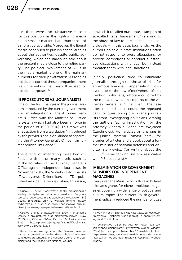less, there were also substantive reasons for this position, as the right-wing media had a smaller market share than those of a more liberal profile. Moreover, the liberal media continued to publish critical articles about the authorities, despite public advertising, which can hardly be said about the present media close to the ruling party. The political involvement of SOEs in the media market is one of the main arguments for their privatization. As long as politicians control these companies, there is an inherent risk that they will be used for political purposes.25

#### III PROSECUTORS VS. JOURNALISTS

One of the first changes in the judicial system introduced by the current government was an integration of the Attorney General's Office with the Minister of Justice (a system which had also been in force in the period of 1990-2010). This move was a retraction from a legislation<sup>26</sup> introduced by the previous coalition, aimed at separating the Attorney General's Office from direct political influence.<sup>27</sup>

The effects of integrating these two offices are visible on many levels, such as in the activities of the Attorney General's Office against independent journalists. In November 2017, the Society of Journalists (Towarzystwo Dziennikarskie, TD) published an open letter describing this issue, in which it recalled numerous examples of so-called "legal harassment," referring to the abuse of law to persecute specific individuals – in this case: journalists. As the authors point out, state institutions often do not respond to press allegations, or provide corrections or conduct substantive discussions with critics, but instead threaten them with legal sanctions.

Initially, politicians tried to intimidate journalists through the threat of trials for enormous financial compensation. However, due to the low effectiveness of this method, politicians, who are criticized by the media, now submit reports to the Attorney General 's Office. Even if the case does not end up in court, the repeated calls for questioning discourage journalists from investigating politicians. Among the authors facing investigation by the Attorney General's Office are Wojciech Czuchnowski (for articles on changes in the judicial system), Tomasz Piątek (for a series of articles and a book about a former minister of national defense) and Andrzej Stankiewicz (for writing about the SKOK28 semi-banking system associated with PiS politicians).<sup>29</sup>

#### IV ELIMINATION OF GOVERNMENT SUBSIDIES FOR INDEPENDENT MAGAZINES

Every year, the Ministry of Culture in Poland allocates grants for niche ambitious magazines covering a wide range of political and cultural topics. The current Polish government radically reduced the number of titles

<sup>25</sup> Siudak, I. (2017) "Państwowe spółki nieracjonalnie wydają pieniądze na reklamę w mediach. Decyduje sympatia polityczna, nie racjonalność wydatków," [in:] *Gazeta Wyborcza*, July 4. Available [online]: http:// wyborcza.pl/7,155287,22046074,panstwowe-spolkinieracjonalnie-wydaja-pieniadze-na-reklame.html

<sup>26</sup> Ustawa z dnia 9 października 2009 r. o zmianie ustawy o prokuraturze oraz niektórych innych ustaw (2009) [in:] *Dziennik Ustaw*, October 27. Available [online]: http://prawo.sejm.gov.pl/isap.nsf/DocDetails. xsp?id=WDU20091781375

<sup>27</sup> Under the reform legislation, the General Prosecutor was appointed by the President of Poland from two candidates presented by the National Council of the Judiciary and the Prosecutors National Council.

<sup>28</sup> SKOK (in Polish: Spółdzielcza Kasa Oszczędnościowo-Kredytowa) – National Association of Co-operative Savings and Credit Unions.

<sup>&</sup>lt;sup>29</sup> "Towarzystwo Dziennikarskie: to nowa faza szykan wobec dziennikarzy krytycznych wobec władzy," (2017) [in:] OKO.press, November 17. Available [online]: https://oko.press/towarzystwo-dziennikarskie-nowafaza-szykan-wobec-dziennikarzy-krytycznych-wobecwladzy/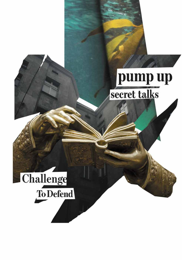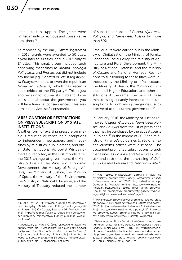entitled to this support. The grants were limited mainly to religious and conservative publishers.30

As reported by the daily *Gazeta Wyborcza* in 2015, grants were awarded to 50 titles, a year later to 41 titles, and in 2017, only to 17 titles. This small group included such right-wing magazines as *Arcana, Teologia Polityczna,* and *Pressje*, but did not include any liberal (eg. *Liberté!*) or leftist (eg.*Krytyka Polityczna*) titles, or even the republican *Nowa Konfederacja*, which has recently been critical of the PiS party. $31$  This is just another sign for journalists in Poland, if you are skeptical about the government, you will face financial consequences. This system incentivizes self-censorship.

#### V RESIGNATION OR RESTRICTIONS ON PRESS SUBSCRIPTION BY STATE INSTITUTIONS

Another form of exerting pressure on media is reducing or canceling subscriptions to independent newspapers and magazines by ministries, public offices, and other state institutions. As portal Wirtualnemedia.pl reported, in the first months after the 2015 change of government, the Ministry of Finance, the Ministry of Economic Development, the Ministry of Foreign Affairs, the Ministry of Justice, the Ministry of Sport, the Ministry of the Environment, the Ministry of National Education, and the Ministry of Treasury reduced the number of subscribed copies of *Gazeta Wyborcza*, *Polityka*, and *Newsweek Polska* by more than 50%.

Smaller cuts were carried out in the Ministry of Digitalization, the Ministry of Family, Labor and Social Policy, the Ministry of Agriculture and Rural Development, the Ministry of National Defense, and the Ministry of Culture and National Heritage. Restrictions to subscribing to these titles were introduced by the Ministry of Infrastructure, the Ministry of Health, the Ministry of Science and Higher Education, and other institutions. At the same time, most of these ministries significantly increased their subscriptions to right-wing magazines, supportive of to the current government.<sup>32</sup>

In January 2016, the Ministry of Justice removed *Gazeta Wyborcza, Newsweek Polska*, and *Polityka* from the list of press titles that may be purchased by the appeal courts in Poland.<sup>33</sup> In the middle of 2017, the Ministry of Finance's guidelines to regional tax and customs offices were disclosed. The document prohibited subscriptions to such magazines as *Polityka* and *Newsweek Polska*, and restricted the purchasing of *Dziennik Gazeta Prawna* and *Rzeczpospolita*. 34

<sup>30</sup> Mrozek, W. (2017) "Prawica z dotacjami, liberałowie bez pieniędzy. Ministerstwo Kultury publikuje wyniki konkursu," [in:] OKO.press, February 16, Available [online] https://oko.press/prawica-dotacjami-liberalowiebez-pieniedzy-ministerstwo-kultury-publikuje-wynikikonkursu/

<sup>31</sup> Grzesiczak, Ł., Nurek, G. (2017) "Dotacje Ministerstwa Kultury tylko dla 17 czasopism! Bez pieniędzy *Krytyka Polityczna*, *Liberté!*, *Fronda Lux*, *Jazz Forum*, *Midrasz*…," [in:] wyborcza.pl, February 15. Available [online]: http:// wyborcza.pl/7,75410,21378884,dotacje-ministerstwakultury-tylko-dla-17-czasopism-bez.html

<sup>&</sup>lt;sup>32</sup> "Tylko resorty infrastruktury, zdrowia i nauki nie zmniejszyły prenumeraty *Gazety Wyborczej*, *Polityki* i *Newsweeka* (analiza)," (2016) [in:] wirtualnemedia.pl, October 1. Available [online]: http://www.wirtualnemedia.pl/artykul/tylko-resorty-infrastruktury-zdrowiai-nauki-nie-zmniejszyly-prenumeraty-gazety-wyborczej-polityki-i-newsweeka-analiza/page:1

<sup>33</sup> "Ministerstwo Sprawiedliwości zmienia katalog prasy dla sądów. Z listy znika *Newsweek* i *Gazeta Wyborcza*," (2016) [in:] wirtualnemedia.pl, January 1. Available [online]: http://www.wirtualnemedia.pl/artykul/ministerstwo-sprawiedliwosci-zmienia-katalog-prasy-dla-sadow-z-listy-znika-newsweek-i-gazeta-wyborcza

<sup>34</sup> "Ministerstwo Finansów do karbówek: zakaz prenumeraty prasy lokalnej, *Polityki*, *Newsweeka* i *Pulsu Biznesu*, mniej *DGP* i *Rz*," (2017) [in:] wirtualnemedia. pl, June 7. Available [online]:http://www.wirtualnemedia.pl/artykul/ministerstwo-finansow-do-skarbowekzakaz-prenumeraty-prasy-lokalnej-polityki-newsweeka-i-pulsu-biznesu-mniej-dgp-i-rz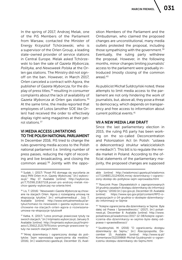031

In the spring of 2017, Andrzej Melak, one of the PiS Members of the Parliament from Warsaw, contacted the Minister of Energy Krzysztof Tchórzewski, who is a supervisor of the Orlen Group, a leading state-owned provider of service stations in Central Europe. Melak asked Tchórzewski to ban the sale of *Gazeta Wyborcza*, *Polityka*, and *Newsweek Polska* at the Orlen gas stations. The Ministry did not signoff on the ban. However, in March 2017, Orlen canceled a contract with Agora, the publisher of *Gazeta Wyborcza*, for the display of press titles,<sup>35</sup> resulting in consumer complaints about the lack of availability of *Gazeta Wyborcza* at Orlen gas stations.36 At the same time, the media reported that employees of Lotos (another SOE like Orlen) had received the order to effectively display right-wing magazines at their petrol stations<sup>37</sup>

#### VI MEDIA ACCESS LIMITATIONS TO THE POLISH NATIONAL PARLIAMENT

In December 2016, PiS tried to change the rules governing media access to the Polish national parliament (i.e. limiting number of press passes, reducing the right of recording and live broadcasting, and closing the common areas).38 Jointly with the opposition Members of the Parliament and the Ombudsman, who claimed the proposed changes are unconstitutional, many media outlets protested the proposal, including those sympathizing with the government.<sup>39</sup> Eventually, the ruling party withdrew the proposal. However, in the following months, minor changes limiting journalists' access to the parliament were gradually introduced (mostly closing of the common areas).40

As publicist Michał Sułdrzyński noted, these attempts to limit media access to the parliament are not only hindering the work of journalists, but, above all, they pose a threat to democracy, which depends on transparency and free access to information about current political events.41

#### VII A NEW MEDIA LAW DRAFT

Since the last parliamentary election in 2015, the ruling PiS party has been working on the so-called Deconcentration and Polonization Act (in Polish: "ustawa o dekoncentracji struktur właścicielskich w mediach"). This bill is to regulate the media market in Poland. According to the official statements of the parliamentary majority, the proposed changes are supposed

<sup>35</sup> Sudak, I. (2017) "Poseł PiS domaga się wycofania ze stacji PKN Orlen m.in. *Gazety Wyborczej*," [in:] wyborcza.pl," May 17. Available [online]: http://wyborcza. pl/7,75398,21827118,posel-pis-andrzej-melak-niechce-gazety-wyborczej-na-orlenie.html

<sup>36</sup> Lis, T. (2016) "*Newsweek* i *Gazeta Wyborcza* są chowane na stacjach Orlen. Agora z rozwiązaną umową na ekspozycję tytułów," [in:] wirtualnemedia.pl , July 7, Available [online] http://www.wirtualnemedia.pl/artykul/tomasz-lis-newsweek-i-gazeta-wyborcza-sachowane-na-stacjach-orlen-agora-z-rozwiazanaumowa-na-ekspozycje-tytulow#

<sup>37</sup> Katka, K. (2017) "Lotos promuje prawicowe tytuły na swoich stacjach," [in:] trójmiasto.wyborcza.pl, January 9. Available [online]: http://trojmiasto.wyborcza.pl/trojmiasto/1,35612,21217979,lotos-promuje-prawicowe-tytuly-na-swoich-stacjach.html

<sup>38</sup> "Mniej dziennikarzy i ograniczony dostęp do polityków. Sejm wprowadza ograniczenia dla mediów," (2016), [in:] wiadomości.gazeta.pl, December 15, Avail-

able [online] http://wiadomosci.gazeta.pl/wiadomos ci/7,114883,21124006,mniej-dziennikarzy-i-ograniczony-dostep-do-politykow-sejm-wprowadza.html

<sup>39</sup> "Rzecznik Praw Obywatelskich o zaproponowanych 14 grudnia zasadach dostępu dziennikarzy do informacji w Sejmie," (2016) [in:] rpo.gov.pl, December 19. Available [online]: https://www.rpo.gov.pl/pl/content/RPO-opropozycjach-z-14-grudnia-o-dostepie-dziennikarzydo-infornmacji-w-Sejmie

<sup>40</sup> "Kolejne ograniczenia dla dziennikarzy w Sejmie. Byle dalej od Prawa i Sprawiedliwości," (2017), [in:] polsatnews.pl, December 8. Available [online]: http://www. polsatnews.pl/wiadomosc/2017-12-08/kolejne-ograniczenia-dla-dziennikarzy-w-sejmie-byle-dalej-odprawa-i-sprawiedliwosci/

<sup>41</sup> Szułdrzyński, M. (2016) "O ograniczeniu dostępu dziennikarzy do Sejmu," [in:] *Rzeczpospolita*, December 15. Available [online]: http://www.rp.pl/ Komentarze/312159868-Michal-Szuldrzynski-o-ograniczeniu-dostepu-dziennikarzy-do-Sejmu.html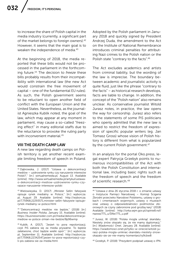to increase the share of Polish capital in the media industry (currently, a significant part of the market belongs to foreign owners).<sup>42</sup> However, it seems that the main goal is to weaken the independence of media.<sup>43</sup>

At the beginning of 2018, the media reported that these bills would not be processed in the parliament in the forthcoming future.44 The decision to *freeze* these bills probably results from their incompatibility with international law (the new Act would constrain the free movement of capital – one of the fundamental EU rules). As such, the Polish government seems to be reluctant to open another field of conflict with the European Union and the United States. Nevertheless, as the journalist Agnieszka Kublik noted, the goal of the law, which may appear at any moment in parliament, may cause a so-called "freezing effect" in many editorial staffs due to the reluctance to provoke the ruling party with inconvenient material.<sup>45</sup>

#### VIII THE DEATH CAMP LAW

A new law regarding death camps on Polish territory is yet another recent example limiting freedom of speech in Poland. Adopted by the Polish parliament in January 2018 and quickly signed by President Andrzej Duda, the amendment to the Act on the Institute of National Remembrance introduces criminal penalties for attributing Nazi crimes to the Polish nation or the Polish state "contrary to the facts".46

The Act excludes academics and artists from criminal liability, but the wording of the law is imprecise. The boundary between academic and journalistic activity is quite fluid, just like the phrase "contrary to the facts" – as historical research develops, facts are liable to change. In addition, the concept of the "Polish nation" also remains unclear. As conservative journalist Witold Jurasz notes, in practice, the law opens the way for censorship. Jurasz also refers to the statements of some PiS politicians who openly admitted that the new law is aimed to restrict the freedom of expression of specific popular writers (eg. Jan Tomasz Gross) whose vision of Polish history is different from what is popularized by the current Polish government.<sup>47</sup>

In an analysis for the portal Oko.press, legal expert Patrycja Grzebyk points to numerous incompatibilities of the Act with both the Polish Constitution and international law, including basic rights such as the freedom of speech and the freedom of scientific research.48

<sup>48</sup> Grzebyk, P. (2018) "Prezydent podpisał ustawę o IPN.

<sup>42</sup> Dąbrowska, J. (2017) "Ustawa o dekoncentracji mediów – uzdrowienie rynku czy naruszenie interesów Polski?," [in:] wirtualnemedia.pl, August 13. Available [online]: http://www.wirtualnemedia.pl/artykul/ustawao-dekoncentracji-mediow-uzdrowienie-rynku-czyrazace-naruszenie-interesow-polski

<sup>&</sup>lt;sup>43</sup> Wielowieyska, D. (2017) "Minister Sellin fałszywie opisuje rynek medialny w Polsce," [in:] wyborcza. pl, August 29. Available [online]: http://wyborcza. pl/7,75968,22293571,minister-sellin-falszywie-opisujerynek-medialny-w-polsce.html

<sup>44</sup> "Dekoncentracji mediów nie będzie," (2018) [in:] *Business Insider Polska*, January 15. Available [online]: https://businessinsider.com.pl/media/dekoncentracjamediow-w-polsce-zmian-nie-bedzie/8p96wmp

<sup>45</sup> Kublik, A. (2017), "Jesień to pora repolonizacji, czyli PiS zabiera się za media prywatne. To będzie załatwione, choć będzie wielki opór"," [in:] wyborcza. pl, September 11. Available [online]: http://wyborcza. pl/7,75968,22342547,jesien-to-pora-repolonizacji-czyli-pis-zabiera-sie-za-media.html

<sup>46</sup> "Ustawa z dnia 26 stycznia 2018 r. o zmianie ustawy o Instytucie Pamięci Narodowej – Komisji Ścigania Zbrodni przeciwko Narodowi Polskiemu, ustawy o grobach i cmentarzach wojennych, ustawy o muzeach oraz ustawy o odpowiedzialności podmiotów zbiorowych za czyny zabronione pod groźbą kary" (2018) Available [online]: http://orka.sejm.gov.pl/opinie8.nsf/ nazwa/771\_u/\$file/771\_u.pdf

<sup>47</sup> Jurasz, W. (2018) "Polska mogła uniknąć skandalu. Niestety znów okazało się, że nie mamy dyplomacji," [in:] *Wiadomości Onet*, January 28. Available [online]: https://wiadomosci.onet.pl/tylko-w-onecie/witold-jurasz-polska-mogla-uniknac-skandalu-niestety-znowokazalo-sie-ze-nie-mamy-komentarz/ry9cbw8